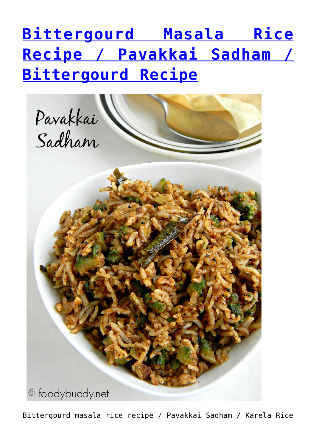## **[Bittergourd Masala Rice](http://foodybuddy.net/2015/09/07/bittergourd-masala-rice-recipe-pavakkai-sadham-bittergourd-recipe.html) [Recipe / Pavakkai Sadham /](http://foodybuddy.net/2015/09/07/bittergourd-masala-rice-recipe-pavakkai-sadham-bittergourd-recipe.html) [Bittergourd Recipe](http://foodybuddy.net/2015/09/07/bittergourd-masala-rice-recipe-pavakkai-sadham-bittergourd-recipe.html)**



Bittergourd masala rice recipe / Pavakkai Sadham / Karela Rice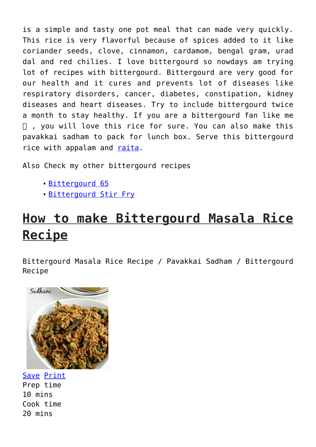is a simple and tasty one pot meal that can made very quickly. This rice is very flavorful because of spices added to it like coriander seeds, clove, cinnamon, cardamom, bengal gram, urad dal and red chilies. I love bittergourd so nowdays am trying lot of recipes with bittergourd. Bittergourd are very good for our health and it cures and prevents lot of diseases like respiratory disorders, cancer, diabetes, constipation, kidney diseases and heart diseases. Try to include bittergourd twice a month to stay healthy. If you are a bittergourd fan like me , you will love this rice for sure. You can also make this pavakkai sadham to pack for lunch box. Serve this bittergourd rice with appalam and [raita.](http://foodybuddy.net/2013/06/19/cucumber-raita-cucumber-yogurt-salad.html)

Also Check my other bittergourd recipes

- [Bittergourd 65](http://foodybuddy.net/2015/07/24/bittergourd-65-recipe-pavakkai-65-karela-65.html)
- [Bittergourd Stir Fry](http://foodybuddy.net/2013/02/01/pavakkai-bitter-gourd-melon-stir-fry.html)

## **How to make Bittergourd Masala Rice Recipe**

Bittergourd Masala Rice Recipe / Pavakkai Sadham / Bittergourd Recipe



Save [Print](http://foodybuddy.net/easyrecipe-print/3172-0/) Prep time 10 mins Cook time 20 mins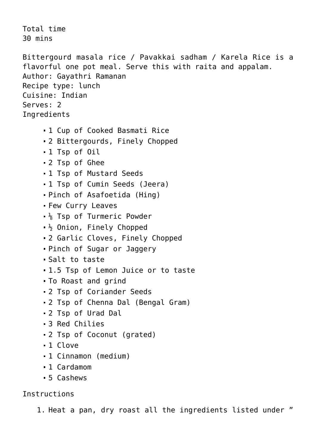Total time 30 mins Bittergourd masala rice / Pavakkai sadham / Karela Rice is a flavorful one pot meal. Serve this with raita and appalam. Author: Gayathri Ramanan Recipe type: lunch Cuisine: Indian Serves: 2 **Ingredients** 1 Cup of Cooked Basmati Rice 2 Bittergourds, Finely Chopped 1 Tsp of Oil 2 Tsp of Ghee 1 Tsp of Mustard Seeds 1 Tsp of Cumin Seeds (Jeera) Pinch of Asafoetida (Hing) Few Curry Leaves  $\frac{1}{8}$  Tsp of Turmeric Powder  $\frac{1}{2}$  Onion, Finely Chopped 2 Garlic Cloves, Finely Chopped Pinch of Sugar or Jaggery Salt to taste 1.5 Tsp of Lemon Juice or to taste To Roast and grind 2 Tsp of Coriander Seeds 2 Tsp of Chenna Dal (Bengal Gram) 2 Tsp of Urad Dal 3 Red Chilies 2 Tsp of Coconut (grated) 1 Clove 1 Cinnamon (medium) 1 Cardamom 5 Cashews

## Instructions

1. Heat a pan, dry roast all the ingredients listed under "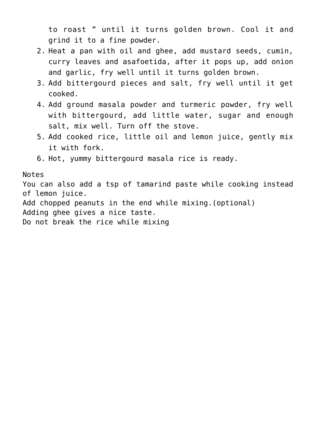to roast " until it turns golden brown. Cool it and grind it to a fine powder.

- 2. Heat a pan with oil and ghee, add mustard seeds, cumin, curry leaves and asafoetida, after it pops up, add onion and garlic, fry well until it turns golden brown.
- 3. Add bittergourd pieces and salt, fry well until it get cooked.
- 4. Add ground masala powder and turmeric powder, fry well with bittergourd, add little water, sugar and enough salt, mix well. Turn off the stove.
- 5. Add cooked rice, little oil and lemon juice, gently mix it with fork.
- 6. Hot, yummy bittergourd masala rice is ready.

Notes

You can also add a tsp of tamarind paste while cooking instead of lemon juice.

Add chopped peanuts in the end while mixing.(optional)

Adding ghee gives a nice taste.

Do not break the rice while mixing